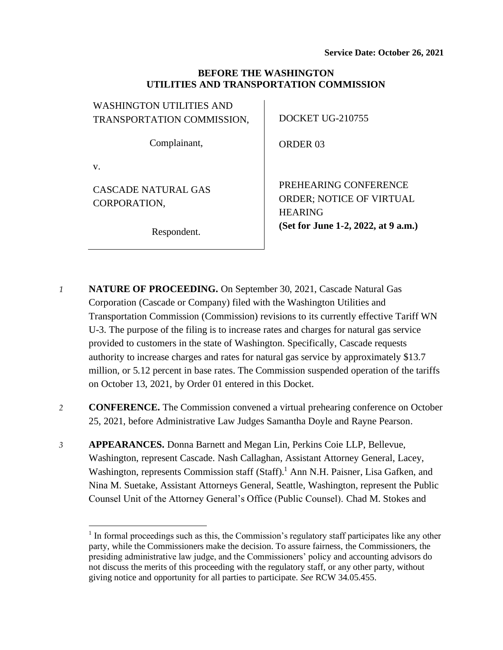### **BEFORE THE WASHINGTON UTILITIES AND TRANSPORTATION COMMISSION**

| <b>WASHINGTON UTILITIES AND</b>     |                                                                            |
|-------------------------------------|----------------------------------------------------------------------------|
| TRANSPORTATION COMMISSION,          | <b>DOCKET UG-210755</b>                                                    |
| Complainant,                        | ORDER 03                                                                   |
| V.                                  |                                                                            |
| CASCADE NATURAL GAS<br>CORPORATION, | PREHEARING CONFERENCE<br><b>ORDER: NOTICE OF VIRTUAL</b><br><b>HEARING</b> |
| Respondent.                         | (Set for June 1-2, 2022, at 9 a.m.)                                        |

- *1* **NATURE OF PROCEEDING.** On September 30, 2021, Cascade Natural Gas Corporation (Cascade or Company) filed with the Washington Utilities and Transportation Commission (Commission) revisions to its currently effective Tariff WN U-3. The purpose of the filing is to increase rates and charges for natural gas service provided to customers in the state of Washington. Specifically, Cascade requests authority to increase charges and rates for natural gas service by approximately \$13.7 million, or 5.12 percent in base rates. The Commission suspended operation of the tariffs on October 13, 2021, by Order 01 entered in this Docket.
- *2* **CONFERENCE.** The Commission convened a virtual prehearing conference on October 25, 2021, before Administrative Law Judges Samantha Doyle and Rayne Pearson.
- *3* **APPEARANCES.** Donna Barnett and Megan Lin, Perkins Coie LLP, Bellevue, Washington, represent Cascade. Nash Callaghan, Assistant Attorney General, Lacey, Washington, represents Commission staff (Staff).<sup>1</sup> Ann N.H. Paisner, Lisa Gafken, and Nina M. Suetake, Assistant Attorneys General, Seattle, Washington, represent the Public Counsel Unit of the Attorney General's Office (Public Counsel). Chad M. Stokes and

<sup>&</sup>lt;sup>1</sup> In formal proceedings such as this, the Commission's regulatory staff participates like any other party, while the Commissioners make the decision. To assure fairness, the Commissioners, the presiding administrative law judge, and the Commissioners' policy and accounting advisors do not discuss the merits of this proceeding with the regulatory staff, or any other party, without giving notice and opportunity for all parties to participate. *See* RCW 34.05.455.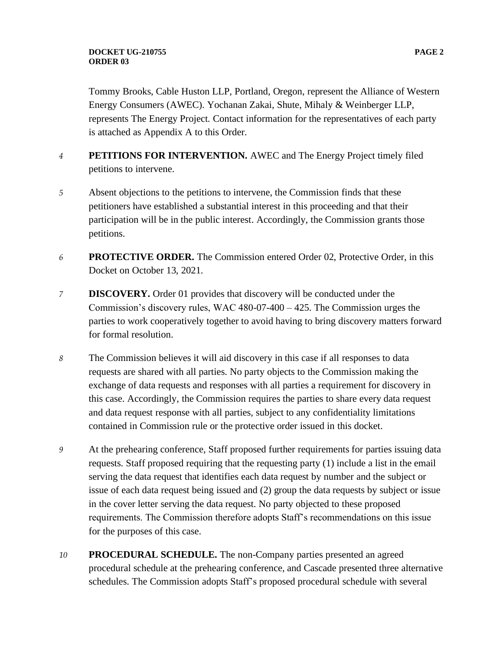### **DOCKET UG-210755 PAGE 2 ORDER 03**

Tommy Brooks, Cable Huston LLP, Portland, Oregon, represent the Alliance of Western Energy Consumers (AWEC). Yochanan Zakai, Shute, Mihaly & Weinberger LLP, represents The Energy Project. Contact information for the representatives of each party is attached as Appendix A to this Order.

- *4* **PETITIONS FOR INTERVENTION.** AWEC and The Energy Project timely filed petitions to intervene.
- *5* Absent objections to the petitions to intervene, the Commission finds that these petitioners have established a substantial interest in this proceeding and that their participation will be in the public interest. Accordingly, the Commission grants those petitions.
- *6* **PROTECTIVE ORDER.** The Commission entered Order 02, Protective Order, in this Docket on October 13, 2021.
- *7* **DISCOVERY.** Order 01 provides that discovery will be conducted under the Commission's discovery rules, WAC 480-07-400 – 425. The Commission urges the parties to work cooperatively together to avoid having to bring discovery matters forward for formal resolution.
- *8* The Commission believes it will aid discovery in this case if all responses to data requests are shared with all parties. No party objects to the Commission making the exchange of data requests and responses with all parties a requirement for discovery in this case. Accordingly, the Commission requires the parties to share every data request and data request response with all parties, subject to any confidentiality limitations contained in Commission rule or the protective order issued in this docket.
- *9* At the prehearing conference, Staff proposed further requirements for parties issuing data requests. Staff proposed requiring that the requesting party (1) include a list in the email serving the data request that identifies each data request by number and the subject or issue of each data request being issued and (2) group the data requests by subject or issue in the cover letter serving the data request. No party objected to these proposed requirements. The Commission therefore adopts Staff's recommendations on this issue for the purposes of this case.
- *10* **PROCEDURAL SCHEDULE.** The non-Company parties presented an agreed procedural schedule at the prehearing conference, and Cascade presented three alternative schedules. The Commission adopts Staff's proposed procedural schedule with several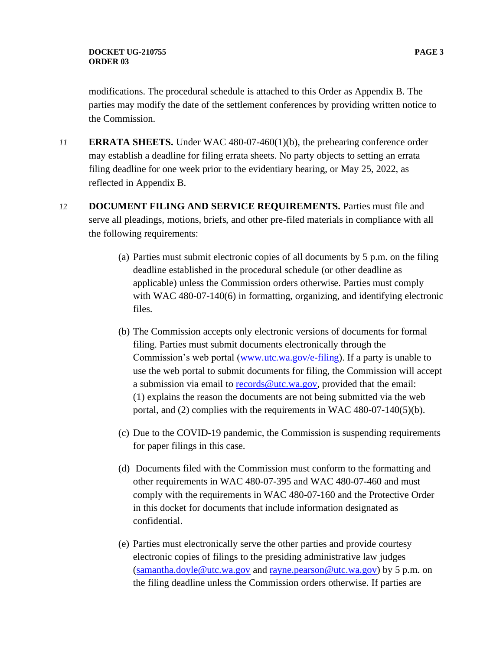modifications. The procedural schedule is attached to this Order as Appendix B. The parties may modify the date of the settlement conferences by providing written notice to the Commission.

- *11* **ERRATA SHEETS.** Under WAC 480-07-460(1)(b), the prehearing conference order may establish a deadline for filing errata sheets. No party objects to setting an errata filing deadline for one week prior to the evidentiary hearing, or May 25, 2022, as reflected in Appendix B.
- *12* **DOCUMENT FILING AND SERVICE REQUIREMENTS.** Parties must file and serve all pleadings, motions, briefs, and other pre-filed materials in compliance with all the following requirements:
	- (a) Parties must submit electronic copies of all documents by 5 p.m. on the filing deadline established in the procedural schedule (or other deadline as applicable) unless the Commission orders otherwise. Parties must comply with WAC 480-07-140(6) in formatting, organizing, and identifying electronic files.
	- (b) The Commission accepts only electronic versions of documents for formal filing. Parties must submit documents electronically through the Commission's web portal [\(www.utc.wa.gov/e-filing\)](http://www.utc.wa.gov/e-filing). If a party is unable to use the web portal to submit documents for filing, the Commission will accept a submission via email to [records@utc.wa.gov,](mailto:records@utc.wa.gov) provided that the email: (1) explains the reason the documents are not being submitted via the web portal, and (2) complies with the requirements in WAC 480-07-140(5)(b).
	- (c) Due to the COVID-19 pandemic, the Commission is suspending requirements for paper filings in this case.
	- (d) Documents filed with the Commission must conform to the formatting and other requirements in WAC 480-07-395 and WAC 480-07-460 and must comply with the requirements in WAC 480-07-160 and the Protective Order in this docket for documents that include information designated as confidential.
	- (e) Parties must electronically serve the other parties and provide courtesy electronic copies of filings to the presiding administrative law judges [\(samantha.doyle@utc.wa.gov](mailto:samantha.doyle@utc.wa.gov) and [rayne.pearson@utc.wa.gov\)](mailto:rayne.pearson@utc.wa.gov) by 5 p.m. on the filing deadline unless the Commission orders otherwise. If parties are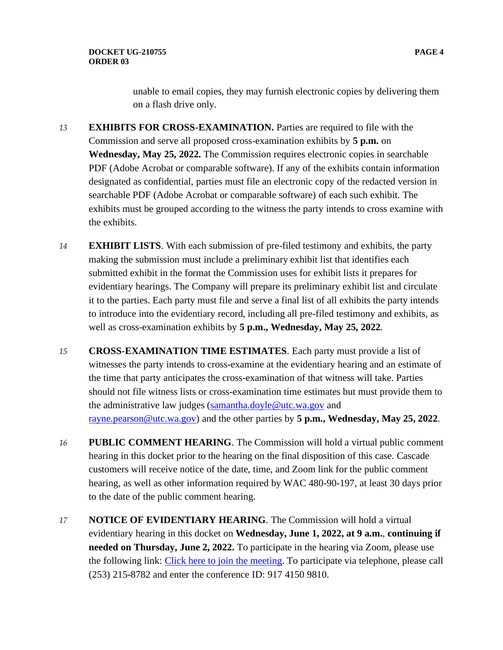unable to email copies, they may furnish electronic copies by delivering them on a flash drive only.

- *13* **EXHIBITS FOR CROSS-EXAMINATION.** Parties are required to file with the Commission and serve all proposed cross-examination exhibits by **5 p.m.** on **Wednesday, May 25, 2022.** The Commission requires electronic copies in searchable PDF (Adobe Acrobat or comparable software). If any of the exhibits contain information designated as confidential, parties must file an electronic copy of the redacted version in searchable PDF (Adobe Acrobat or comparable software) of each such exhibit. The exhibits must be grouped according to the witness the party intends to cross examine with the exhibits.
- *14* **EXHIBIT LISTS**. With each submission of pre-filed testimony and exhibits, the party making the submission must include a preliminary exhibit list that identifies each submitted exhibit in the format the Commission uses for exhibit lists it prepares for evidentiary hearings. The Company will prepare its preliminary exhibit list and circulate it to the parties. Each party must file and serve a final list of all exhibits the party intends to introduce into the evidentiary record, including all pre-filed testimony and exhibits, as well as cross-examination exhibits by **5 p.m., Wednesday, May 25, 2022**.
- *15* **CROSS-EXAMINATION TIME ESTIMATES**. Each party must provide a list of witnesses the party intends to cross-examine at the evidentiary hearing and an estimate of the time that party anticipates the cross-examination of that witness will take. Parties should not file witness lists or cross-examination time estimates but must provide them to the administrative law judges [\(samantha.doyle@utc.wa.gov](mailto:samantha.doyle@utc.wa.gov) and [rayne.pearson@utc.wa.gov\)](mailto:rayne.pearson@utc.wa.gov) and the other parties by **5 p.m., Wednesday, May 25, 2022**.
- *16* **PUBLIC COMMENT HEARING**. The Commission will hold a virtual public comment hearing in this docket prior to the hearing on the final disposition of this case. Cascade customers will receive notice of the date, time, and Zoom link for the public comment hearing, as well as other information required by WAC 480-90-197, at least 30 days prior to the date of the public comment hearing.
- *17* **NOTICE OF EVIDENTIARY HEARING**. The Commission will hold a virtual evidentiary hearing in this docket on **Wednesday, June 1, 2022, at 9 a.m.**, **continuing if needed on Thursday, June 2, 2022.** To participate in the hearing via Zoom, please use the following link: [Click here to join the meeting.](https://utc-wa-gov.zoom.us/j/91741509810?pwd=ZWlWczRmaVEzYnp6L3hheVBRaGUwZz09) To participate via telephone, please call (253) 215-8782 and enter the conference ID: 917 4150 9810.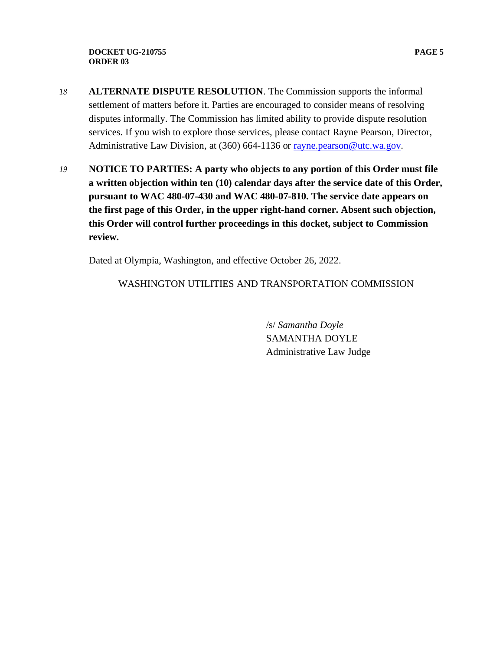- *18* **ALTERNATE DISPUTE RESOLUTION**. The Commission supports the informal settlement of matters before it. Parties are encouraged to consider means of resolving disputes informally. The Commission has limited ability to provide dispute resolution services. If you wish to explore those services, please contact Rayne Pearson, Director, Administrative Law Division, at (360) 664-1136 or [rayne.pearson@utc.wa.gov.](mailto:rayne.pearson@utc.wa.gov)
- *19* **NOTICE TO PARTIES: A party who objects to any portion of this Order must file a written objection within ten (10) calendar days after the service date of this Order, pursuant to WAC 480-07-430 and WAC 480-07-810. The service date appears on the first page of this Order, in the upper right-hand corner. Absent such objection, this Order will control further proceedings in this docket, subject to Commission review.**

Dated at Olympia, Washington, and effective October 26, 2022.

WASHINGTON UTILITIES AND TRANSPORTATION COMMISSION

/s/ *Samantha Doyle* SAMANTHA DOYLE Administrative Law Judge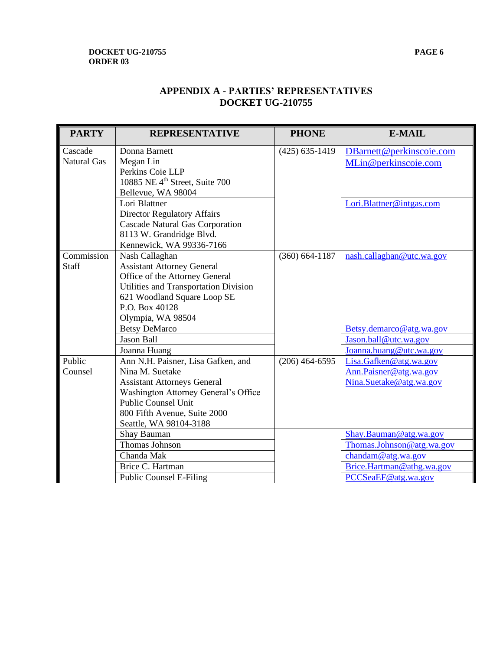### **DOCKET UG-210755 PAGE 6 ORDER 03**

| <b>PARTY</b>                  | <b>REPRESENTATIVE</b>                                                                                                                                                                                                       | <b>PHONE</b>       | <b>E-MAIL</b>                                                                |
|-------------------------------|-----------------------------------------------------------------------------------------------------------------------------------------------------------------------------------------------------------------------------|--------------------|------------------------------------------------------------------------------|
| Cascade<br><b>Natural Gas</b> | Donna Barnett<br>Megan Lin<br>Perkins Coie LLP<br>10885 NE 4 <sup>th</sup> Street, Suite 700<br>Bellevue, WA 98004<br>Lori Blattner                                                                                         | $(425) 635 - 1419$ | DBarnett@perkinscoie.com<br>MLin@perkinscoie.com<br>Lori.Blattner@intgas.com |
|                               | <b>Director Regulatory Affairs</b><br><b>Cascade Natural Gas Corporation</b><br>8113 W. Grandridge Blvd.<br>Kennewick, WA 99336-7166                                                                                        |                    |                                                                              |
| Commission<br><b>Staff</b>    | Nash Callaghan<br><b>Assistant Attorney General</b><br>Office of the Attorney General<br>Utilities and Transportation Division<br>621 Woodland Square Loop SE<br>P.O. Box 40128<br>Olympia, WA 98504                        | $(360) 664 - 1187$ | nash.callaghan@utc.wa.gov                                                    |
|                               | <b>Betsy DeMarco</b><br><b>Jason Ball</b><br>Joanna Huang                                                                                                                                                                   |                    | Betsy.demarco@atg.wa.gov<br>Jason.ball@utc.wa.gov<br>Joanna.huang@utc.wa.gov |
| Public<br>Counsel             | Ann N.H. Paisner, Lisa Gafken, and<br>Nina M. Suetake<br><b>Assistant Attorneys General</b><br>Washington Attorney General's Office<br><b>Public Counsel Unit</b><br>800 Fifth Avenue, Suite 2000<br>Seattle, WA 98104-3188 | $(206)$ 464-6595   | Lisa.Gafken@atg.wa.gov<br>Ann.Paisner@atg.wa.gov<br>Nina.Suetake@atg.wa.gov  |
|                               | Shay Bauman<br>Thomas Johnson                                                                                                                                                                                               |                    | Shay.Bauman@atg.wa.gov<br>Thomas.Johnson@atg.wa.gov                          |
|                               | Chanda Mak                                                                                                                                                                                                                  |                    | chandam@atg.wa.gov                                                           |
|                               | Brice C. Hartman<br><b>Public Counsel E-Filing</b>                                                                                                                                                                          |                    | Brice.Hartman@athg.wa.gov<br>PCCSeaEF@atg.wa.gov                             |

# **APPENDIX A - PARTIES' REPRESENTATIVES DOCKET UG-210755**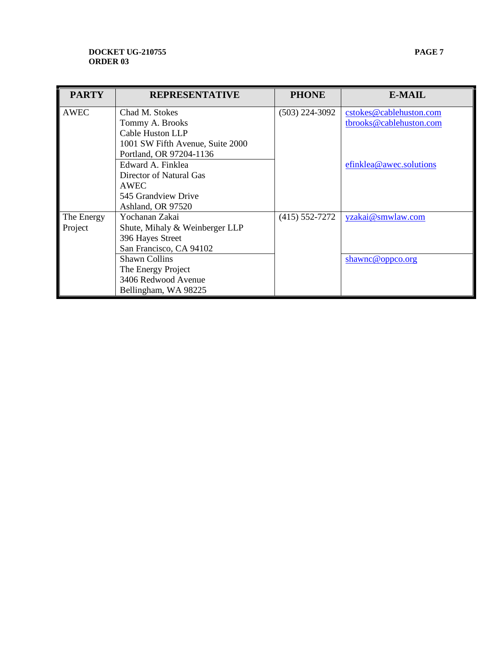#### **DOCKET UG-210755 PAGE 7 ORDER 03**

| <b>PARTY</b> | <b>REPRESENTATIVE</b>            | <b>PHONE</b>       | E-MAIL                  |
|--------------|----------------------------------|--------------------|-------------------------|
|              |                                  |                    |                         |
| <b>AWEC</b>  | Chad M. Stokes                   | $(503)$ 224-3092   | cstokes@cablehuston.com |
|              | Tommy A. Brooks                  |                    | tbrooks@cablehuston.com |
|              | Cable Huston LLP                 |                    |                         |
|              | 1001 SW Fifth Avenue, Suite 2000 |                    |                         |
|              | Portland, OR 97204-1136          |                    |                         |
|              | Edward A. Finklea                |                    | efinklea@awec.solutions |
|              | Director of Natural Gas          |                    |                         |
|              | AWEC                             |                    |                         |
|              | 545 Grandview Drive              |                    |                         |
|              | Ashland, OR 97520                |                    |                         |
| The Energy   | Yochanan Zakai                   | $(415) 552 - 7272$ | yzakai@smwlaw.com       |
| Project      | Shute, Mihaly & Weinberger LLP   |                    |                         |
|              | 396 Hayes Street                 |                    |                         |
|              | San Francisco, CA 94102          |                    |                         |
|              | <b>Shawn Collins</b>             |                    | shawnc@oppco.org        |
|              | The Energy Project               |                    |                         |
|              | 3406 Redwood Avenue              |                    |                         |
|              | Bellingham, WA 98225             |                    |                         |